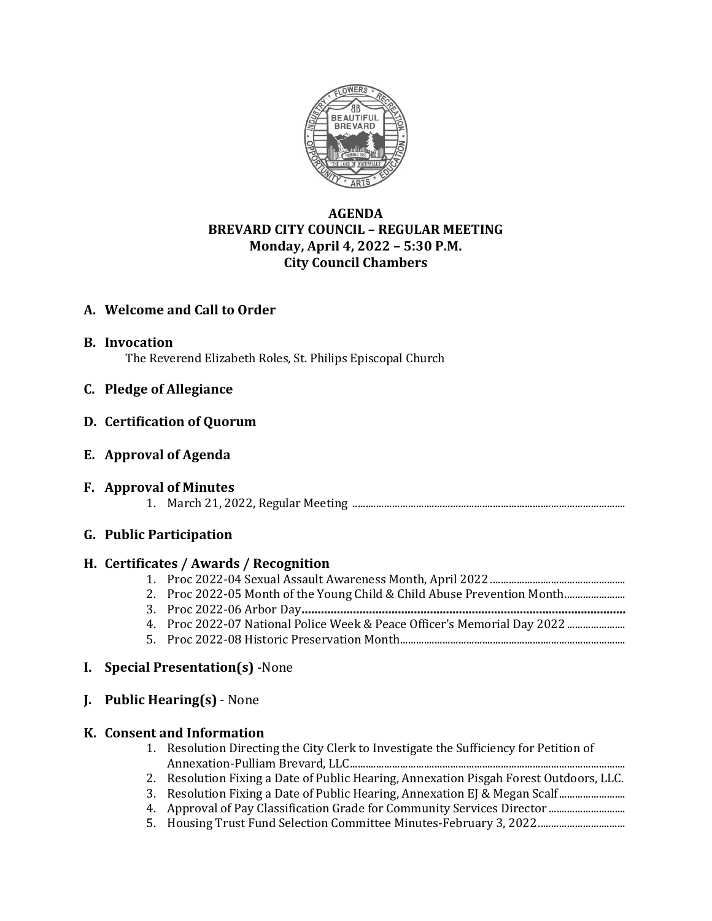

# **AGENDA BREVARD CITY COUNCIL – REGULAR MEETING Monday, April 4, 2022 – 5:30 P.M. City Council Chambers**

# **A. Welcome and Call to Order**

**B. Invocation**

The Reverend Elizabeth Roles, St. Philips Episcopal Church

**C. Pledge of Allegiance**

## **D. Certification of Quorum**

**E. Approval of Agenda**

## **F. Approval of Minutes**

1. March 21, 2022, Regular Meeting .......................................................................................................

## **G. Public Participation**

## **H. Certificates / Awards / Recognition**

- 1. Proc 2022-04 Sexual Assault Awareness Month, April 2022...................................................
- 2. Proc 2022-05 Month of the Young Child & Child Abuse Prevention Month............................
- 3. Proc 2022-06 Arbor Day**.....................................................................................................**
- 4. Proc 2022-07 National Police Week & Peace Officer's Memorial Day 2022 ..........................
- 5. Proc 2022-08 Historic Preservation Month.....................................................................................

## **I. Special Presentation(s)** -None

**J. Public Hearing(s)** - None

## **K. Consent and Information**

- 1. Resolution Directing the City Clerk to Investigate the Sufficiency for Petition of Annexation-Pulliam Brevard, LLC........................................................................................................
- 2. Resolution Fixing a Date of Public Hearing, Annexation Pisgah Forest Outdoors, LLC.
- 3. Resolution Fixing a Date of Public Hearing, Annexation EJ & Megan Scalf.........................
- 4. Approval of Pay Classification Grade for Community Services Director .............................
- 5. Housing Trust Fund Selection Committee Minutes-February 3, 2022.................................